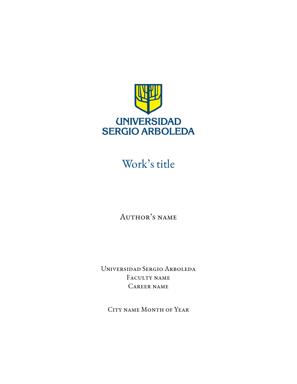

## Work's title

Author's name

Universidad Sergio Arboleda Faculty name Career name

City name Month of Year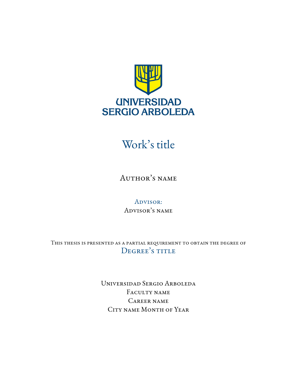

### Work's title

Author's name

ADVISOR: Advisor's name

This thesis is presented as a partial requirement to obtain the degree of DEGREE'S TITLE

> Universidad Sergio Arboleda FACULTY NAME Career name City name Month of Year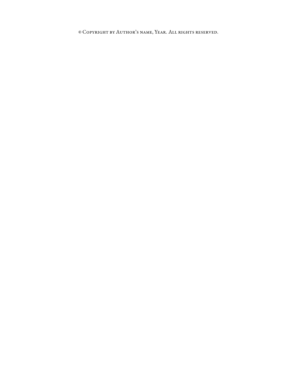© Copyright by Author's name, Year. All rights reserved.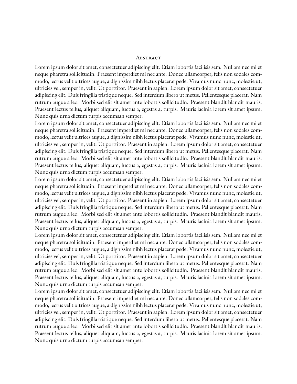#### **ABSTRACT**

<span id="page-4-0"></span>Lorem ipsum dolor sit amet, consectetuer adipiscing elit. Etiam lobortis facilisis sem. Nullam nec mi et neque pharetra sollicitudin. Praesent imperdiet mi nec ante. Donec ullamcorper, felis non sodales commodo, lectus velit ultrices augue, a dignissim nibh lectus placerat pede. Vivamus nunc nunc, molestie ut, ultricies vel, semper in, velit. Ut porttitor. Praesent in sapien. Lorem ipsum dolor sit amet, consectetuer adipiscing elit. Duis fringilla tristique neque. Sed interdum libero ut metus. Pellentesque placerat. Nam rutrum augue a leo. Morbi sed elit sit amet ante lobortis sollicitudin. Praesent blandit blandit mauris. Praesent lectus tellus, aliquet aliquam, luctus a, egestas a, turpis. Mauris lacinia lorem sit amet ipsum. Nunc quis urna dictum turpis accumsan semper.

Lorem ipsum dolor sit amet, consectetuer adipiscing elit. Etiam lobortis facilisis sem. Nullam nec mi et neque pharetra sollicitudin. Praesent imperdiet mi nec ante. Donec ullamcorper, felis non sodales commodo, lectus velit ultrices augue, a dignissim nibh lectus placerat pede. Vivamus nunc nunc, molestie ut, ultricies vel, semper in, velit. Ut porttitor. Praesent in sapien. Lorem ipsum dolor sit amet, consectetuer adipiscing elit. Duis fringilla tristique neque. Sed interdum libero ut metus. Pellentesque placerat. Nam rutrum augue a leo. Morbi sed elit sit amet ante lobortis sollicitudin. Praesent blandit blandit mauris. Praesent lectus tellus, aliquet aliquam, luctus a, egestas a, turpis. Mauris lacinia lorem sit amet ipsum. Nunc quis urna dictum turpis accumsan semper.

Lorem ipsum dolor sit amet, consectetuer adipiscing elit. Etiam lobortis facilisis sem. Nullam nec mi et neque pharetra sollicitudin. Praesent imperdiet mi nec ante. Donec ullamcorper, felis non sodales commodo, lectus velit ultrices augue, a dignissim nibh lectus placerat pede. Vivamus nunc nunc, molestie ut, ultricies vel, semper in, velit. Ut porttitor. Praesent in sapien. Lorem ipsum dolor sit amet, consectetuer adipiscing elit. Duis fringilla tristique neque. Sed interdum libero ut metus. Pellentesque placerat. Nam rutrum augue a leo. Morbi sed elit sit amet ante lobortis sollicitudin. Praesent blandit blandit mauris. Praesent lectus tellus, aliquet aliquam, luctus a, egestas a, turpis. Mauris lacinia lorem sit amet ipsum. Nunc quis urna dictum turpis accumsan semper.

Lorem ipsum dolor sit amet, consectetuer adipiscing elit. Etiam lobortis facilisis sem. Nullam nec mi et neque pharetra sollicitudin. Praesent imperdiet mi nec ante. Donec ullamcorper, felis non sodales commodo, lectus velit ultrices augue, a dignissim nibh lectus placerat pede. Vivamus nunc nunc, molestie ut, ultricies vel, semper in, velit. Ut porttitor. Praesent in sapien. Lorem ipsum dolor sit amet, consectetuer adipiscing elit. Duis fringilla tristique neque. Sed interdum libero ut metus. Pellentesque placerat. Nam rutrum augue a leo. Morbi sed elit sit amet ante lobortis sollicitudin. Praesent blandit blandit mauris. Praesent lectus tellus, aliquet aliquam, luctus a, egestas a, turpis. Mauris lacinia lorem sit amet ipsum. Nunc quis urna dictum turpis accumsan semper.

Lorem ipsum dolor sit amet, consectetuer adipiscing elit. Etiam lobortis facilisis sem. Nullam nec mi et neque pharetra sollicitudin. Praesent imperdiet mi nec ante. Donec ullamcorper, felis non sodales commodo, lectus velit ultrices augue, a dignissim nibh lectus placerat pede. Vivamus nunc nunc, molestie ut, ultricies vel, semper in, velit. Ut porttitor. Praesent in sapien. Lorem ipsum dolor sit amet, consectetuer adipiscing elit. Duis fringilla tristique neque. Sed interdum libero ut metus. Pellentesque placerat. Nam rutrum augue a leo. Morbi sed elit sit amet ante lobortis sollicitudin. Praesent blandit blandit mauris. Praesent lectus tellus, aliquet aliquam, luctus a, egestas a, turpis. Mauris lacinia lorem sit amet ipsum. Nunc quis urna dictum turpis accumsan semper.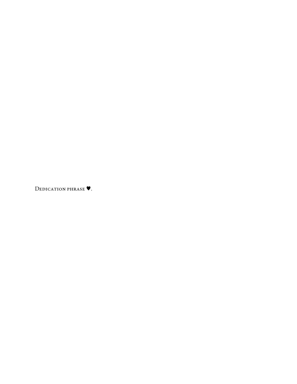DEDICATION PHRASE **V**.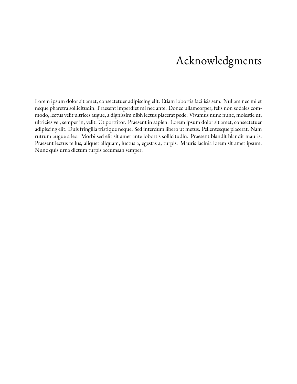## Acknowledgments

Lorem ipsum dolor sit amet, consectetuer adipiscing elit. Etiam lobortis facilisis sem. Nullam nec mi et neque pharetra sollicitudin. Praesent imperdiet mi nec ante. Donec ullamcorper, felis non sodales commodo, lectus velit ultrices augue, a dignissim nibh lectus placerat pede. Vivamus nunc nunc, molestie ut, ultricies vel, semper in, velit. Ut porttitor. Praesent in sapien. Lorem ipsum dolor sit amet, consectetuer adipiscing elit. Duis fringilla tristique neque. Sed interdum libero ut metus. Pellentesque placerat. Nam rutrum augue a leo. Morbi sed elit sit amet ante lobortis sollicitudin. Praesent blandit blandit mauris. Praesent lectus tellus, aliquet aliquam, luctus a, egestas a, turpis. Mauris lacinia lorem sit amet ipsum. Nunc quis urna dictum turpis accumsan semper.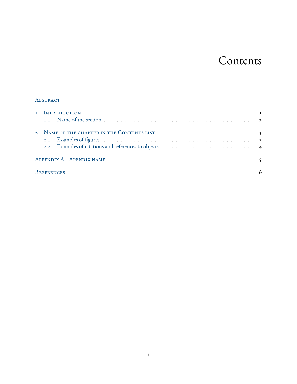### Contents

#### **ABSTRACT**

| I INTRODUCTION                             |   |
|--------------------------------------------|---|
|                                            |   |
| 2 NAME OF THE CHAPTER IN THE CONTENTS LIST | 3 |
|                                            |   |
|                                            |   |
| APPENDIX A APENDIX NAME                    |   |
| REFERENCES                                 |   |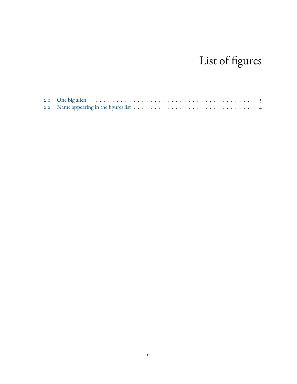## List of figures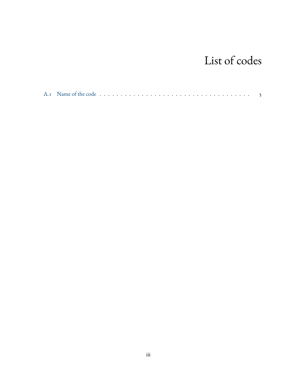## List of codes

|--|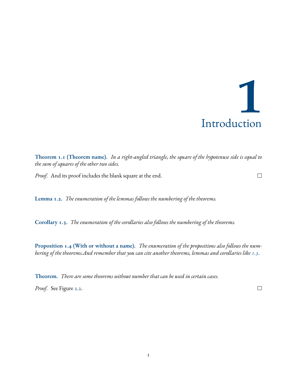# **1** Introduction

<span id="page-13-3"></span><span id="page-13-0"></span>**Theorem 1.1 (Theorem name).** *In a right-angled triangle, the square of the hypotenuse side is equal to the sum of squares of the other two sides.*

*Proof.* And its proof includes the blank square at the end.

**Lemma 1.2.** *The enumeration of the lemmas follows the numbering of the theorems.*

<span id="page-13-2"></span>**Corollary 1.3.** *The enumeration of the corollaries also follows the numbering of the theorems.*

**Proposition 1.4 (With or without a name).** *The enumeration of the propositions also follows the numbering of the theorems.And remember that you can cite another theorems, lemmas and corollaries like [1.3](#page-13-2).*

**Theorem.** *There are some theorems without number that can be used in certain cases.*

<span id="page-13-1"></span>*Proof.* See Figure [2.2.](#page-16-1)

 $\Box$ 

 $\Box$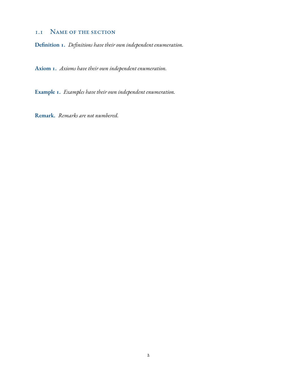#### 1.1 Name of the section

**Definition 1.** *Definitions have their own independent enumeration.*

**Axiom 1.** *Axioms have their own independent enumeration.*

**Example 1.** *Examples have their own independent enumeration.*

**Remark.** *Remarks are not numbered.*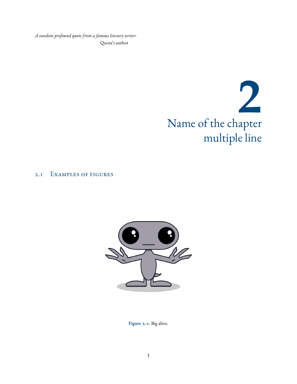<span id="page-15-0"></span>*A random profound quote from a famous literary writer.* Quota's author

## **2** Name of the chapter multiple line

#### <span id="page-15-2"></span><span id="page-15-1"></span>2.1 Examples of figures



**Figure 2.1:** Big alien.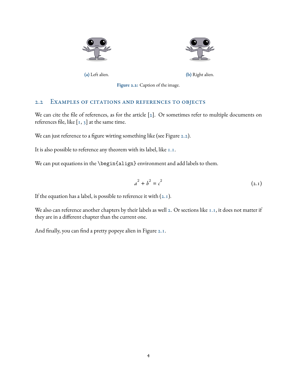<span id="page-16-1"></span>



**(a)** Left alien. **(b)** Right alien.

**Figure 2.2:** Caption of the image.

#### <span id="page-16-0"></span>2.2 Examples of citations and references to objects

We can cite the file of references, as for the article [\[2](#page-18-1)]. Or sometimes refer to multiple documents on referencesfile, like  $\left[1, 3\right]$  $\left[1, 3\right]$  $\left[1, 3\right]$  $\left[1, 3\right]$  $\left[1, 3\right]$  at the same time.

We can just reference to a figure wirting something like (see Figure [2.2](#page-16-1)).

It is also possible to reference any theorem with its label, like [1.1.](#page-13-3)

We can put equations in the \begin{align} environment and add labels to them.

<span id="page-16-2"></span>
$$
a^2 + b^2 = c^2 \tag{2.1}
$$

Ifthe equation has a label, is possible to reference it with  $(2.1)$  $(2.1)$  $(2.1)$ .

We also can reference another chapters by their labels as well [2.](#page-15-0) Or sections like [1.1,](#page-13-1) it does not matter if they are in a different chapter than the current one.

And finally, you can find a pretty popeye alien in Figure [2.1.](#page-15-2)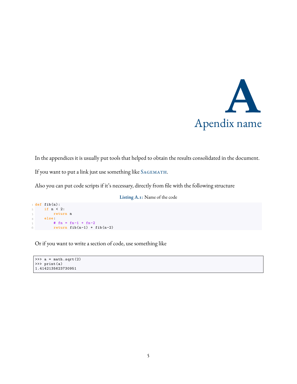

<span id="page-17-0"></span>In the appendices it is usually put tools that helped to obtain the results consolidated in the document.

If you want to put a link just use something like SAGEMATH.

<span id="page-17-1"></span>Also you can put code scripts if it's necessary, directly from file with the following structure

**Listing A.1:** Name of the code

```
1 def fib(n):
2 if n < 2:
3 return n
4 else:
\sin \theta + \sin \theta = \sin^{-1} + \sin^{-2}6 return fib(n-1) + fib(n-2)
```
Or if you want to write a section of code, use something like

```
>>> a = math.sqrt(2)>>> print(a)
1.4142135623730951
```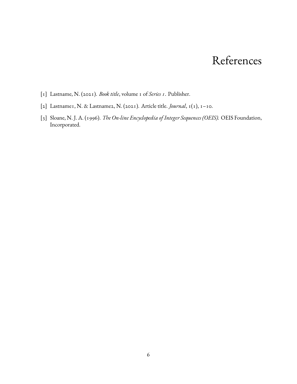### References

- <span id="page-18-2"></span><span id="page-18-0"></span>[1] Lastname, N. (2021). *Book title*, volume 1 of *Series 1*. Publisher.
- <span id="page-18-1"></span>[2] Lastname1, N. & Lastname2, N. (2021). Article title. *Journal*, 1(1), 1–10.
- <span id="page-18-3"></span>[3] Sloane, N. J. A. (1996). *The On-line Encyclopedia of Integer Sequences (OEIS).* OEIS Foundation, Incorporated.